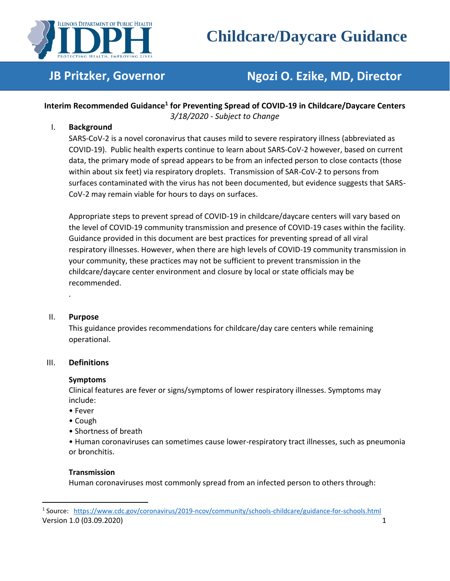

# **Childcare/Daycare Guidance**

## **JB Pritzker, Governor Ngozi O. Ezike, MD, Director**

### **Interim Recommended Guidance<sup>1</sup> for Preventing Spread of COVID-19 in Childcare/Daycare Centers** *3/18/2020 - Subject to Change*

#### I. **Background**

SARS-CoV-2 is a novel coronavirus that causes mild to severe respiratory illness (abbreviated as COVID-19). Public health experts continue to learn about SARS-CoV-2 however, based on current data, the primary mode of spread appears to be from an infected person to close contacts (those within about six feet) via respiratory droplets. Transmission of SAR-CoV-2 to persons from surfaces contaminated with the virus has not been documented, but evidence suggests that SARS-CoV-2 may remain viable for hours to days on surfaces.

Appropriate steps to prevent spread of COVID-19 in childcare/daycare centers will vary based on the level of COVID-19 community transmission and presence of COVID-19 cases within the facility. Guidance provided in this document are best practices for preventing spread of all viral respiratory illnesses. However, when there are high levels of COVID-19 community transmission in your community, these practices may not be sufficient to prevent transmission in the childcare/daycare center environment and closure by local or state officials may be recommended.

#### II. **Purpose**

.

This guidance provides recommendations for childcare/day care centers while remaining operational.

#### III. **Definitions**

#### **Symptoms**

Clinical features are fever or signs/symptoms of lower respiratory illnesses. Symptoms may include:

- Fever
- Cough
- Shortness of breath

• Human coronaviruses can sometimes cause lower-respiratory tract illnesses, such as pneumonia or bronchitis.

#### **Transmission**

Human coronaviruses most commonly spread from an infected person to others through:

Version 1.0 (03.09.2020) 1 <sup>1</sup> Source: <https://www.cdc.gov/coronavirus/2019-ncov/community/schools-childcare/guidance-for-schools.html>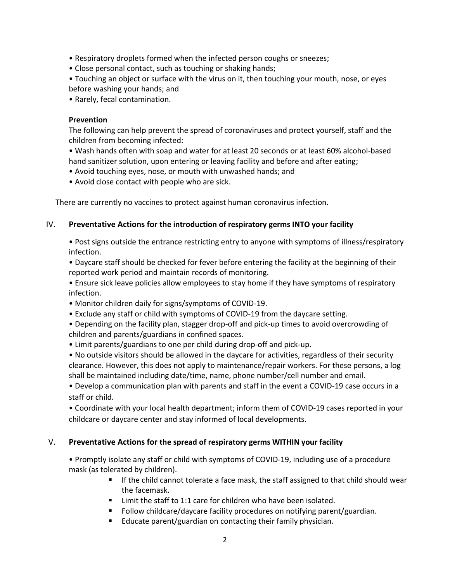- Respiratory droplets formed when the infected person coughs or sneezes;
- Close personal contact, such as touching or shaking hands;
- Touching an object or surface with the virus on it, then touching your mouth, nose, or eyes before washing your hands; and
- Rarely, fecal contamination.

#### **Prevention**

The following can help prevent the spread of coronaviruses and protect yourself, staff and the children from becoming infected:

- Wash hands often with soap and water for at least 20 seconds or at least 60% alcohol-based hand sanitizer solution, upon entering or leaving facility and before and after eating;
- Avoid touching eyes, nose, or mouth with unwashed hands; and
- Avoid close contact with people who are sick.

There are currently no vaccines to protect against human coronavirus infection.

#### IV. **Preventative Actions for the introduction of respiratory germs INTO your facility**

• Post signs outside the entrance restricting entry to anyone with symptoms of illness/respiratory infection.

- Daycare staff should be checked for fever before entering the facility at the beginning of their reported work period and maintain records of monitoring.
- Ensure sick leave policies allow employees to stay home if they have symptoms of respiratory infection.
- Monitor children daily for signs/symptoms of COVID-19.
- Exclude any staff or child with symptoms of COVID-19 from the daycare setting.
- Depending on the facility plan, stagger drop-off and pick-up times to avoid overcrowding of children and parents/guardians in confined spaces.
- Limit parents/guardians to one per child during drop-off and pick-up.

• No outside visitors should be allowed in the daycare for activities, regardless of their security clearance. However, this does not apply to maintenance/repair workers. For these persons, a log shall be maintained including date/time, name, phone number/cell number and email.

• Develop a communication plan with parents and staff in the event a COVID-19 case occurs in a staff or child.

• Coordinate with your local health department; inform them of COVID-19 cases reported in your childcare or daycare center and stay informed of local developments.

#### V. **Preventative Actions for the spread of respiratory germs WITHIN your facility**

• Promptly isolate any staff or child with symptoms of COVID-19, including use of a procedure mask (as tolerated by children).

- **■** If the child cannot tolerate a face mask, the staff assigned to that child should wear the facemask.
- Limit the staff to 1:1 care for children who have been isolated.
- Follow childcare/daycare facility procedures on notifying parent/guardian.
- Educate parent/guardian on contacting their family physician.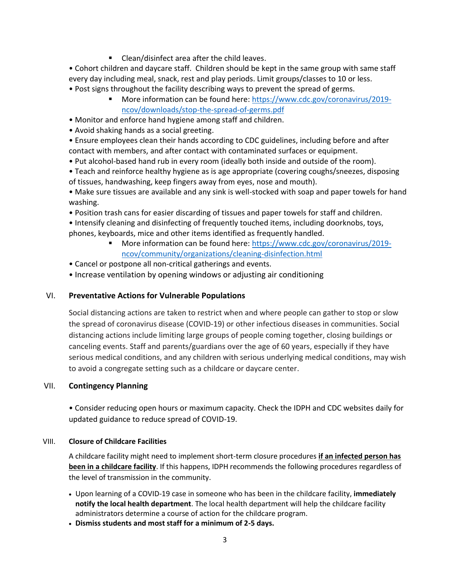■ Clean/disinfect area after the child leaves.

• Cohort children and daycare staff. Children should be kept in the same group with same staff every day including meal, snack, rest and play periods. Limit groups/classes to 10 or less.

- Post signs throughout the facility describing ways to prevent the spread of germs.
	- More information can be found here: [https://www.cdc.gov/coronavirus/2019](https://www.cdc.gov/coronavirus/2019-ncov/downloads/stop-the-spread-of-germs.pdf) [ncov/downloads/stop-the-spread-of-germs.pdf](https://www.cdc.gov/coronavirus/2019-ncov/downloads/stop-the-spread-of-germs.pdf)
- Monitor and enforce hand hygiene among staff and children.
- Avoid shaking hands as a social greeting.

• Ensure employees clean their hands according to CDC guidelines, including before and after contact with members, and after contact with contaminated surfaces or equipment.

- Put alcohol-based hand rub in every room (ideally both inside and outside of the room).
- Teach and reinforce healthy hygiene as is age appropriate (covering coughs/sneezes, disposing of tissues, handwashing, keep fingers away from eyes, nose and mouth).

• Make sure tissues are available and any sink is well-stocked with soap and paper towels for hand washing.

- Position trash cans for easier discarding of tissues and paper towels for staff and children.
- Intensify cleaning and disinfecting of frequently touched items, including doorknobs, toys, phones, keyboards, mice and other items identified as frequently handled.
	- More information can be found here: [https://www.cdc.gov/coronavirus/2019](https://www.cdc.gov/coronavirus/2019-ncov/community/organizations/cleaning-disinfection.html) [ncov/community/organizations/cleaning-disinfection.html](https://www.cdc.gov/coronavirus/2019-ncov/community/organizations/cleaning-disinfection.html)

• Cancel or postpone all non-critical gatherings and events.

• Increase ventilation by opening windows or adjusting air conditioning

#### VI. **Preventative Actions for Vulnerable Populations**

Social distancing actions are taken to restrict when and where people can gather to stop or slow the spread of coronavirus disease (COVID‐19) or other infectious diseases in communities. Social distancing actions include limiting large groups of people coming together, closing buildings or canceling events. Staff and parents/guardians over the age of 60 years, especially if they have serious medical conditions, and any children with serious underlying medical conditions, may wish to avoid a congregate setting such as a childcare or daycare center.

#### VII. **Contingency Planning**

• Consider reducing open hours or maximum capacity. Check the IDPH and CDC websites daily for updated guidance to reduce spread of COVID-19.

#### VIII. **Closure of Childcare Facilities**

A childcare facility might need to implement short-term closure procedures **if an infected person has been in a childcare facility**. If this happens, IDPH recommends the following procedures regardless of the level of transmission in the community.

- Upon learning of a COVID-19 case in someone who has been in the childcare facility, **immediately notify the local health department**. The local health department will help the childcare facility administrators determine a course of action for the childcare program.
- **Dismiss students and most staff for a minimum of 2-5 days.**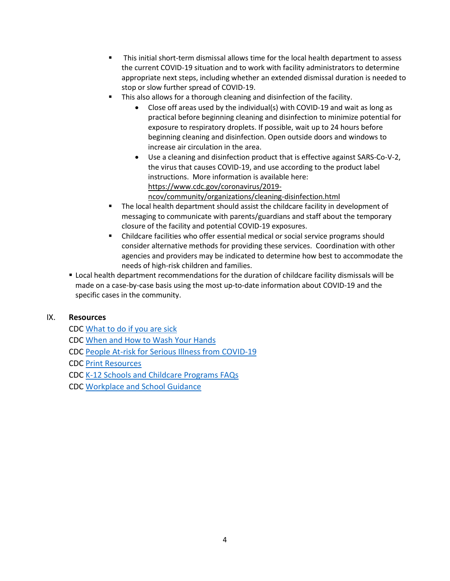- This initial short-term dismissal allows time for the local health department to assess the current COVID-19 situation and to work with facility administrators to determine appropriate next steps, including whether an extended dismissal duration is needed to stop or slow further spread of COVID-19.
- This also allows for a thorough cleaning and disinfection of the facility.
	- Close off areas used by the individual(s) with COVID-19 and wait as long as practical before beginning cleaning and disinfection to minimize potential for exposure to respiratory droplets. If possible, wait up to 24 hours before beginning cleaning and disinfection. Open outside doors and windows to increase air circulation in the area.
	- Use a cleaning and disinfection product that is effective against SARS-Co-V-2, the virus that causes COVID-19, and use according to the product label instructions. More information is available here: [https://www.cdc.gov/coronavirus/2019](https://www.cdc.gov/coronavirus/2019-ncov/community/organizations/cleaning-disinfection.html) [ncov/community/organizations/cleaning-disinfection.html](https://www.cdc.gov/coronavirus/2019-ncov/community/organizations/cleaning-disinfection.html)
- The local health department should assist the childcare facility in development of messaging to communicate with parents/guardians and staff about the temporary closure of the facility and potential COVID-19 exposures.
- Childcare facilities who offer essential medical or social service programs should consider alternative methods for providing these services. Coordination with other agencies and providers may be indicated to determine how best to accommodate the needs of high-risk children and families.
- Local health department recommendations for the duration of childcare facility dismissals will be made on a case-by-case basis using the most up-to-date information about COVID-19 and the specific cases in the community.

#### IX. **Resources**

CDC [What to do if you are sick](https://www.cdc.gov/coronavirus/2019-ncov/protect/what-to-do-if-sick.html) CDC [When and How to Wash Your Hands](https://www.cdc.gov/handwashing/when-how-handwashing.html) CDC [People At-risk for Serious Illness from COVID-19](https://www.cdc.gov/coronavirus/2019-ncov/specific-groups/high-risk-complications.html#stay-home) CDC [Print Resources](https://www.cdc.gov/coronavirus/2019-ncov/communication/factsheets.html) CDC [K-12 Schools and Childcare Programs FAQs](https://www.cdc.gov/coronavirus/2019-ncov/community/schools-childcare/schools-faq.html) CDC [Workplace and School Guidance](https://www.cdc.gov/coronavirus/2019-ncov/downloads/workplace-school-and-home-guidance.pdf)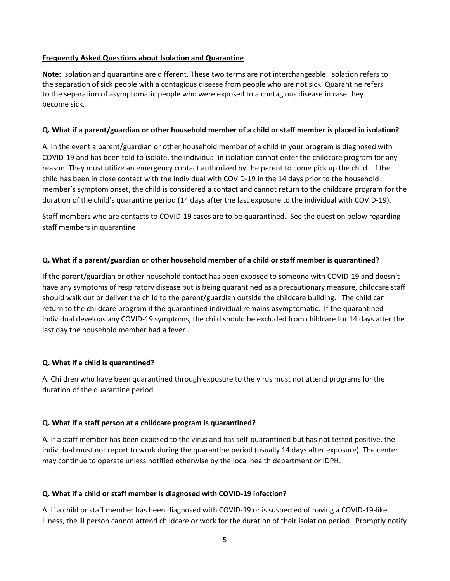#### **Frequently Asked Questions about Isolation and Quarantine**

**Note:** Isolation and quarantine are different. These two terms are not interchangeable. Isolation refers to the separation of sick people with a contagious disease from people who are not sick. Quarantine refers to the separation of asymptomatic people who were exposed to a contagious disease in case they become sick.

#### **Q. What if a parent/guardian or other household member of a child or staff member is placed in isolation?**

A. In the event a parent/guardian or other household member of a child in your program is diagnosed with COVID-19 and has been told to isolate, the individual in isolation cannot enter the childcare program for any reason. They must utilize an emergency contact authorized by the parent to come pick up the child. If the child has been in close contact with the individual with COVID-19 in the 14 days prior to the household member's symptom onset, the child is considered a contact and cannot return to the childcare program for the duration of the child's quarantine period (14 days after the last exposure to the individual with COVID-19).

Staff members who are contacts to COVID-19 cases are to be quarantined. See the question below regarding staff members in quarantine.

#### **Q. What if a parent/guardian or other household member of a child or staff member is quarantined?**

If the parent/guardian or other household contact has been exposed to someone with COVID-19 and doesn't have any symptoms of respiratory disease but is being quarantined as a precautionary measure, childcare staff should walk out or deliver the child to the parent/guardian outside the childcare building. The child can return to the childcare program if the quarantined individual remains asymptomatic. If the quarantined individual develops any COVID-19 symptoms, the child should be excluded from childcare for 14 days after the last day the household member had a fever .

#### **Q. What if a child is quarantined?**

A. Children who have been quarantined through exposure to the virus must not attend programs for the duration of the quarantine period.

#### **Q. What if a staff person at a childcare program is quarantined?**

A. If a staff member has been exposed to the virus and has self-quarantined but has not tested positive, the individual must not report to work during the quarantine period (usually 14 days after exposure). The center may continue to operate unless notified otherwise by the local health department or IDPH.

#### **Q. What if a child or staff member is diagnosed with COVID-19 infection?**

A. If a child or staff member has been diagnosed with COVID-19 or is suspected of having a COVID-19-like illness, the ill person cannot attend childcare or work for the duration of their isolation period. Promptly notify